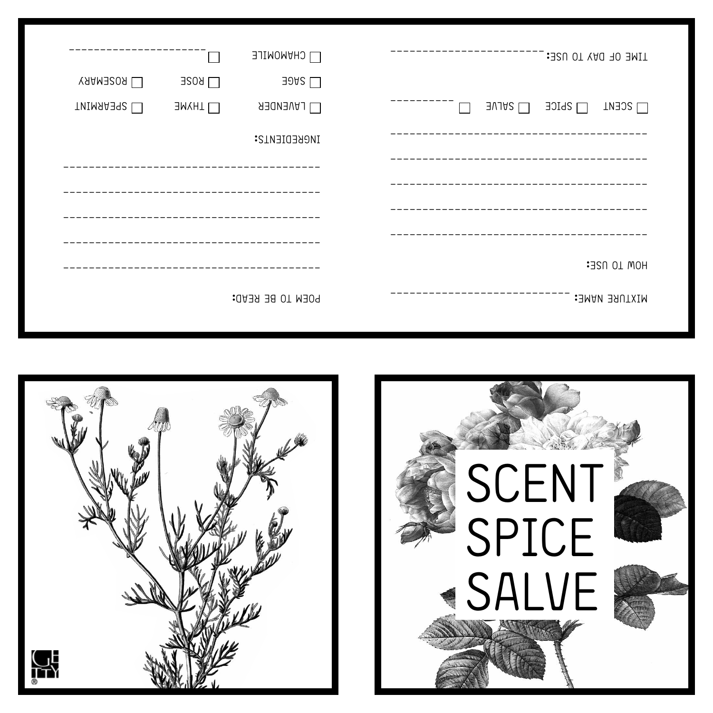|                     | $\sim 10$    | <b>LI CHANOMILE</b>  | TIME OF DAY TO USE:                               |
|---------------------|--------------|----------------------|---------------------------------------------------|
| $\Box$ ROSENARY     | $\Box$ ROSE  | $\exists$ 942 $\Box$ |                                                   |
| <b>LU SPEARMINT</b> | $\Box$ LIXNE | $\Box$ LAVENDER      | $\Box$ SALVE<br>$\Box$ SPICE<br>$\Box$ SCENT<br>П |
|                     |              | INGREDIENTS:         |                                                   |
|                     |              |                      |                                                   |
|                     |              |                      |                                                   |
|                     |              |                      |                                                   |
|                     |              |                      |                                                   |
|                     |              |                      | HOM TO USE:                                       |
|                     |              | POEM TO BE READ:     | MIXTURE NAME:                                     |